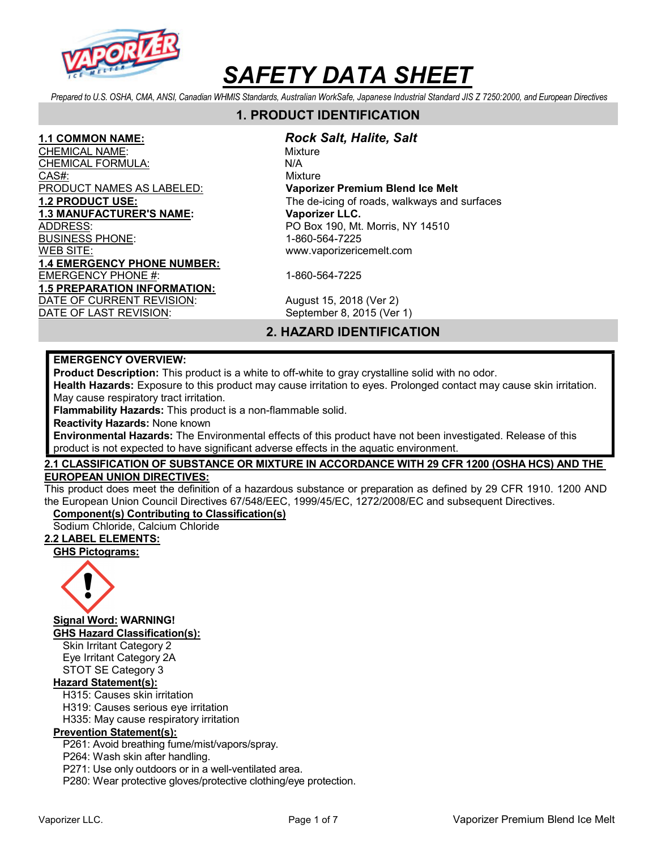

Prepared to U.S. OSHA, CMA, ANSI, Canadian WHMIS Standards, Australian WorkSafe, Japanese Industrial Standard JIS Z 7250:2000, and European Directives

# 1. PRODUCT IDENTIFICATION

CHEMICAL NAME: We are also assessed to the Mixture CHEMI<u>CAL FORMULA:</u> N/A CAS#: CAS CONSIDERED A CONSIDERATION OF THE CONSIDERED AT A CONSIDERATION OF THE CONSIDERED AT A CONSIDERATION PRODUCT NAMES AS LABELED: Vaporizer Premium Blend Ice Melt 1.3 MANUFACTURER'S NAME: Vaporizer LLC. ADDRESS: PO Box 190, Mt. Morris, NY 14510 BUSINESS PHONE: 1-860-564-7225 WEB SITE: www.vaporizericemelt.com 1.4 EMERGENCY PHONE NUMBER: EMERGENCY PHONE #: 1-860-564-7225 1.5 PREPARATION INFORMATION: DATE OF CURRENT REVISION: August 15, 2018 (Ver 2)

#### 1.1 COMMON NAME: Rock Salt, Halite, Salt

1.2 PRODUCT USE: The de-icing of roads, walkways and surfaces

DATE OF LAST REVISION: September 8, 2015 (Ver 1)

# 2. HAZARD IDENTIFICATION

#### EMERGENCY OVERVIEW:

Product Description: This product is a white to off-white to gray crystalline solid with no odor.

Health Hazards: Exposure to this product may cause irritation to eyes. Prolonged contact may cause skin irritation. May cause respiratory tract irritation.

Flammability Hazards: This product is a non-flammable solid.

Reactivity Hazards: None known

Environmental Hazards: The Environmental effects of this product have not been investigated. Release of this product is not expected to have significant adverse effects in the aquatic environment.

### 2.1 CLASSIFICATION OF SUBSTANCE OR MIXTURE IN ACCORDANCE WITH 29 CFR 1200 (OSHA HCS) AND THE EUROPEAN UNION DIRECTIVES:

This product does meet the definition of a hazardous substance or preparation as defined by 29 CFR 1910. 1200 AND the European Union Council Directives 67/548/EEC, 1999/45/EC, 1272/2008/EC and subsequent Directives.

# Component(s) Contributing to Classification(s)

Sodium Chloride, Calcium Chloride

#### 2.2 LABEL ELEMENTS:

GHS Pictograms:



Signal Word: WARNING!

GHS Hazard Classification(s):

Skin Irritant Category 2 Eye Irritant Category 2A STOT SE Category 3

### Hazard Statement(s):

H315: Causes skin irritation

H319: Causes serious eye irritation

H335: May cause respiratory irritation

# Prevention Statement(s):

P261: Avoid breathing fume/mist/vapors/spray.

P264: Wash skin after handling.

P271: Use only outdoors or in a well-ventilated area.

P280: Wear protective gloves/protective clothing/eye protection.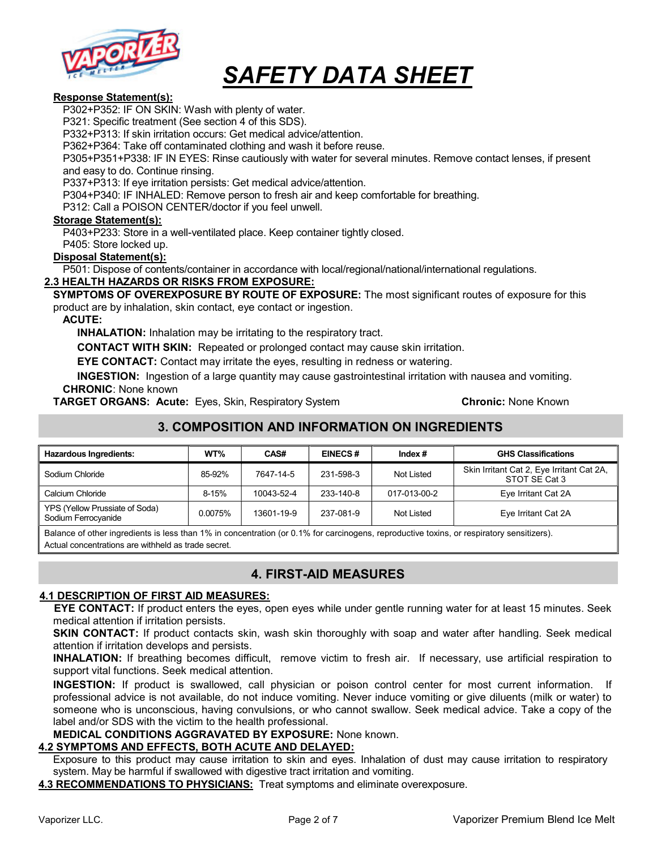

#### Response Statement(s):

P302+P352: IF ON SKIN: Wash with plenty of water.

P321: Specific treatment (See section 4 of this SDS).

P332+P313: If skin irritation occurs: Get medical advice/attention.

P362+P364: Take off contaminated clothing and wash it before reuse.

P305+P351+P338: IF IN EYES: Rinse cautiously with water for several minutes. Remove contact lenses, if present and easy to do. Continue rinsing.

P337+P313: If eye irritation persists: Get medical advice/attention.

P304+P340: IF INHALED: Remove person to fresh air and keep comfortable for breathing.

P312: Call a POISON CENTER/doctor if you feel unwell.

#### Storage Statement(s):

P403+P233: Store in a well-ventilated place. Keep container tightly closed.

P405: Store locked up.

#### Disposal Statement(s):

P501: Dispose of contents/container in accordance with local/regional/national/international regulations.

#### 2.3 HEALTH HAZARDS OR RISKS FROM EXPOSURE:

SYMPTOMS OF OVEREXPOSURE BY ROUTE OF EXPOSURE: The most significant routes of exposure for this product are by inhalation, skin contact, eye contact or ingestion.

#### ACUTE:

INHALATION: Inhalation may be irritating to the respiratory tract.

CONTACT WITH SKIN: Repeated or prolonged contact may cause skin irritation.

EYE CONTACT: Contact may irritate the eyes, resulting in redness or watering.

INGESTION: Ingestion of a large quantity may cause gastrointestinal irritation with nausea and vomiting. CHRONIC: None known

**TARGET ORGANS: Acute:** Eyes, Skin, Respiratory System **Chronic: None Known** Chronic: None Known

# 3. COMPOSITION AND INFORMATION ON INGREDIENTS

| <b>Hazardous Ingredients:</b>                         | WT%     | CAS#       | <b>EINECS#</b> | Index $#$    | <b>GHS Classifications</b>                                 |
|-------------------------------------------------------|---------|------------|----------------|--------------|------------------------------------------------------------|
| Sodium Chloride                                       | 85-92%  | 7647-14-5  | 231-598-3      | Not Listed   | Skin Irritant Cat 2, Eye Irritant Cat 2A,<br>STOT SE Cat 3 |
| Calcium Chloride                                      | 8-15%   | 10043-52-4 | 233-140-8      | 017-013-00-2 | Eye Irritant Cat 2A                                        |
| YPS (Yellow Prussiate of Soda)<br>Sodium Ferrocyanide | 0.0075% | 13601-19-9 | 237-081-9      | Not Listed   | Eye Irritant Cat 2A                                        |

Balance of other ingredients is less than 1% in concentration (or 0.1% for carcinogens, reproductive toxins, or respiratory sensitizers). Actual concentrations are withheld as trade secret.

# 4. FIRST-AID MEASURES

#### 4.1 DESCRIPTION OF FIRST AID MEASURES:

EYE CONTACT: If product enters the eyes, open eyes while under gentle running water for at least 15 minutes. Seek medical attention if irritation persists.

**SKIN CONTACT:** If product contacts skin, wash skin thoroughly with soap and water after handling. Seek medical attention if irritation develops and persists.

INHALATION: If breathing becomes difficult, remove victim to fresh air. If necessary, use artificial respiration to support vital functions. Seek medical attention.

INGESTION: If product is swallowed, call physician or poison control center for most current information. If professional advice is not available, do not induce vomiting. Never induce vomiting or give diluents (milk or water) to someone who is unconscious, having convulsions, or who cannot swallow. Seek medical advice. Take a copy of the label and/or SDS with the victim to the health professional.

MEDICAL CONDITIONS AGGRAVATED BY EXPOSURE: None known.

#### 4.2 SYMPTOMS AND EFFECTS, BOTH ACUTE AND DELAYED:

Exposure to this product may cause irritation to skin and eyes. Inhalation of dust may cause irritation to respiratory system. May be harmful if swallowed with digestive tract irritation and vomiting.

4.3 RECOMMENDATIONS TO PHYSICIANS: Treat symptoms and eliminate overexposure.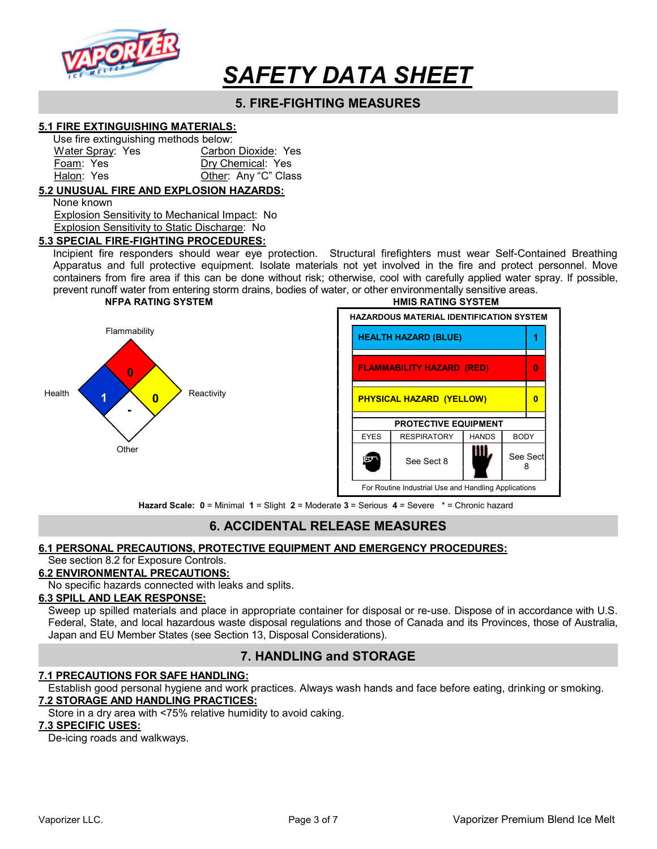

# 5. FIRE-FIGHTING MEASURES

#### 5.1 FIRE EXTINGUISHING MATERIALS:

| Use fire extinguishing methods below: |                      |  |
|---------------------------------------|----------------------|--|
| Water Spray: Yes                      | Carbon Dioxide: Yes  |  |
| Foam: Yes                             | Dry Chemical: Yes    |  |
| Halon: Yes                            | Other: Any "C" Class |  |

#### 5.2 UNUSUAL FIRE AND EXPLOSION HAZARDS:

None known

 Explosion Sensitivity to Mechanical Impact: No Explosion Sensitivity to Static Discharge: No

#### 5.3 SPECIAL FIRE-FIGHTING PROCEDURES:

Incipient fire responders should wear eye protection. Structural firefighters must wear Self-Contained Breathing Apparatus and full protective equipment. Isolate materials not yet involved in the fire and protect personnel. Move containers from fire area if this can be done without risk; otherwise, cool with carefully applied water spray. If possible, prevent runoff water from entering storm drains, bodies of water, or other environmentally sensitive areas.



NFPA RATING SYSTEM **HMIS RATING SYSTEM** HAZARDOUS MATERIAL IDENTIFICATION SYSTEM Flammability **HEALTH HAZARD (BLUE)** 1 FLAMMABILITY HAZARD (RED) 0 PHYSICAL HAZARD (YELLOW) 0 PROTECTIVE EQUIPMENT EYES | RESPIRATORY | HANDS | BODY See Sect  $8$   $\blacksquare$  See Sect ine. 8 For Routine Industrial Use and Handling Applications

Hazard Scale: 0 = Minimal 1 = Slight 2 = Moderate 3 = Serious 4 = Severe \* = Chronic hazard

# 6. ACCIDENTAL RELEASE MEASURES

#### 6.1 PERSONAL PRECAUTIONS, PROTECTIVE EQUIPMENT AND EMERGENCY PROCEDURES:

### See section 8.2 for Exposure Controls.

### 6.2 ENVIRONMENTAL PRECAUTIONS:

No specific hazards connected with leaks and splits.

### 6.3 SPILL AND LEAK RESPONSE:

Sweep up spilled materials and place in appropriate container for disposal or re-use. Dispose of in accordance with U.S. Federal, State, and local hazardous waste disposal regulations and those of Canada and its Provinces, those of Australia, Japan and EU Member States (see Section 13, Disposal Considerations).

# 7. HANDLING and STORAGE

#### 7.1 PRECAUTIONS FOR SAFE HANDLING:

- Establish good personal hygiene and work practices. Always wash hands and face before eating, drinking or smoking. 7.2 STORAGE AND HANDLING PRACTICES:
	- Store in a dry area with <75% relative humidity to avoid caking.

#### 7.3 SPECIFIC USES:

De-icing roads and walkways.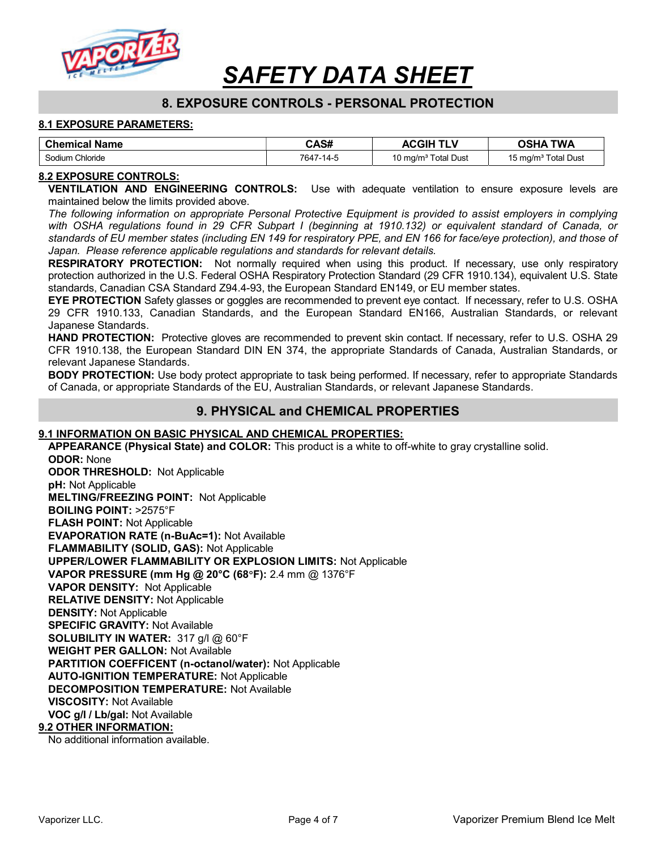

# 8. EXPOSURE CONTROLS - PERSONAL PROTECTION

#### 8.1 EXPOSURE PARAMETERS:

| <b>Chemical Name</b> | CAS#      | <b>ACGIH</b>                    | <b>TWA</b><br><b>OSHA</b>       |
|----------------------|-----------|---------------------------------|---------------------------------|
| Sodium Chloride      | 7647-14-5 | 10 mg/m <sup>3</sup> Total Dust | 15 mg/m <sup>3</sup> Total Dust |

#### 8.2 EXPOSURE CONTROLS:

VENTILATION AND ENGINEERING CONTROLS: Use with adequate ventilation to ensure exposure levels are maintained below the limits provided above.

The following information on appropriate Personal Protective Equipment is provided to assist employers in complying with OSHA regulations found in 29 CFR Subpart I (beginning at 1910.132) or equivalent standard of Canada, or standards of EU member states (including EN 149 for respiratory PPE, and EN 166 for face/eye protection), and those of Japan. Please reference applicable regulations and standards for relevant details.

**RESPIRATORY PROTECTION:** Not normally required when using this product. If necessary, use only respiratory protection authorized in the U.S. Federal OSHA Respiratory Protection Standard (29 CFR 1910.134), equivalent U.S. State standards, Canadian CSA Standard Z94.4-93, the European Standard EN149, or EU member states.

EYE PROTECTION Safety glasses or goggles are recommended to prevent eye contact. If necessary, refer to U.S. OSHA 29 CFR 1910.133, Canadian Standards, and the European Standard EN166, Australian Standards, or relevant Japanese Standards.

HAND PROTECTION: Protective gloves are recommended to prevent skin contact. If necessary, refer to U.S. OSHA 29 CFR 1910.138, the European Standard DIN EN 374, the appropriate Standards of Canada, Australian Standards, or relevant Japanese Standards.

**BODY PROTECTION:** Use body protect appropriate to task being performed. If necessary, refer to appropriate Standards of Canada, or appropriate Standards of the EU, Australian Standards, or relevant Japanese Standards.

### 9. PHYSICAL and CHEMICAL PROPERTIES

#### 9.1 INFORMATION ON BASIC PHYSICAL AND CHEMICAL PROPERTIES:

APPEARANCE (Physical State) and COLOR: This product is a white to off-white to gray crystalline solid. ODOR: None

ODOR THRESHOLD: Not Applicable pH: Not Applicable MELTING/FREEZING POINT: Not Applicable BOILING POINT: >2575°F FLASH POINT: Not Applicable EVAPORATION RATE (n-BuAc=1): Not Available FLAMMABILITY (SOLID, GAS): Not Applicable UPPER/LOWER FLAMMABILITY OR EXPLOSION LIMITS: Not Applicable VAPOR PRESSURE (mm Hg @ 20°C (68F): 2.4 mm @ 1376°F VAPOR DENSITY: Not Applicable RELATIVE DENSITY: Not Applicable DENSITY: Not Applicable SPECIFIC GRAVITY: Not Available SOLUBILITY IN WATER: 317 g/l @ 60°F WEIGHT PER GALLON: Not Available PARTITION COEFFICENT (n-octanol/water): Not Applicable AUTO-IGNITION TEMPERATURE: Not Applicable DECOMPOSITION TEMPERATURE: Not Available VISCOSITY: Not Available VOC g/l / Lb/gal: Not Available 9.2 OTHER INFORMATION:

No additional information available.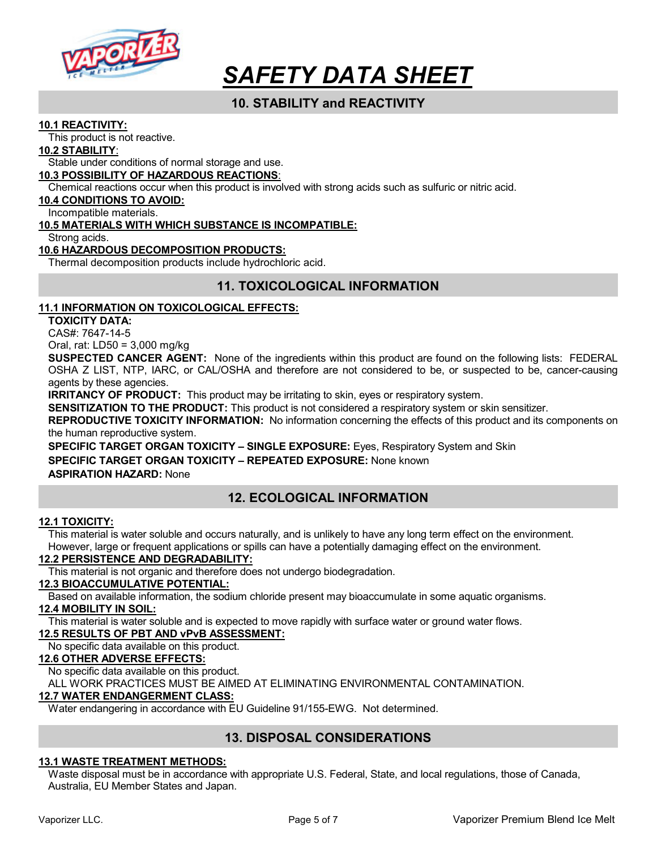

# 10. STABILITY and REACTIVITY

#### 10.1 REACTIVITY:

This product is not reactive.

#### 10.2 STABILITY:

Stable under conditions of normal storage and use.

#### 10.3 POSSIBILITY OF HAZARDOUS REACTIONS:

Chemical reactions occur when this product is involved with strong acids such as sulfuric or nitric acid.

#### 10.4 CONDITIONS TO AVOID:

Incompatible materials.

#### 10.5 MATERIALS WITH WHICH SUBSTANCE IS INCOMPATIBLE:

Strong acids.

#### 10.6 HAZARDOUS DECOMPOSITION PRODUCTS:

Thermal decomposition products include hydrochloric acid.

# 11. TOXICOLOGICAL INFORMATION

#### 11.1 INFORMATION ON TOXICOLOGICAL EFFECTS:

TOXICITY DATA:

CAS#: 7647-14-5

Oral, rat: LD50 = 3,000 mg/kg

SUSPECTED CANCER AGENT: None of the ingredients within this product are found on the following lists: FEDERAL OSHA Z LIST, NTP, IARC, or CAL/OSHA and therefore are not considered to be, or suspected to be, cancer-causing agents by these agencies.

**IRRITANCY OF PRODUCT:** This product may be irritating to skin, eyes or respiratory system.

SENSITIZATION TO THE PRODUCT: This product is not considered a respiratory system or skin sensitizer.

REPRODUCTIVE TOXICITY INFORMATION: No information concerning the effects of this product and its components on the human reproductive system.

SPECIFIC TARGET ORGAN TOXICITY – SINGLE EXPOSURE: Eyes, Respiratory System and Skin SPECIFIC TARGET ORGAN TOXICITY - REPEATED EXPOSURE: None known ASPIRATION HAZARD: None

# 12. ECOLOGICAL INFORMATION

#### 12.1 TOXICITY:

This material is water soluble and occurs naturally, and is unlikely to have any long term effect on the environment. However, large or frequent applications or spills can have a potentially damaging effect on the environment.

#### 12.2 PERSISTENCE AND DEGRADABILITY:

This material is not organic and therefore does not undergo biodegradation.

### 12.3 BIOACCUMULATIVE POTENTIAL:

Based on available information, the sodium chloride present may bioaccumulate in some aquatic organisms.

#### 12.4 MOBILITY IN SOIL:

This material is water soluble and is expected to move rapidly with surface water or ground water flows.

#### 12.5 RESULTS OF PBT AND vPvB ASSESSMENT:

No specific data available on this product.

#### 12.6 OTHER ADVERSE EFFECTS:

No specific data available on this product.

ALL WORK PRACTICES MUST BE AIMED AT ELIMINATING ENVIRONMENTAL CONTAMINATION.

#### 12.7 WATER ENDANGERMENT CLASS:

Water endangering in accordance with EU Guideline 91/155-EWG. Not determined.

# 13. DISPOSAL CONSIDERATIONS

#### 13.1 WASTE TREATMENT METHODS:

Waste disposal must be in accordance with appropriate U.S. Federal, State, and local regulations, those of Canada, Australia, EU Member States and Japan.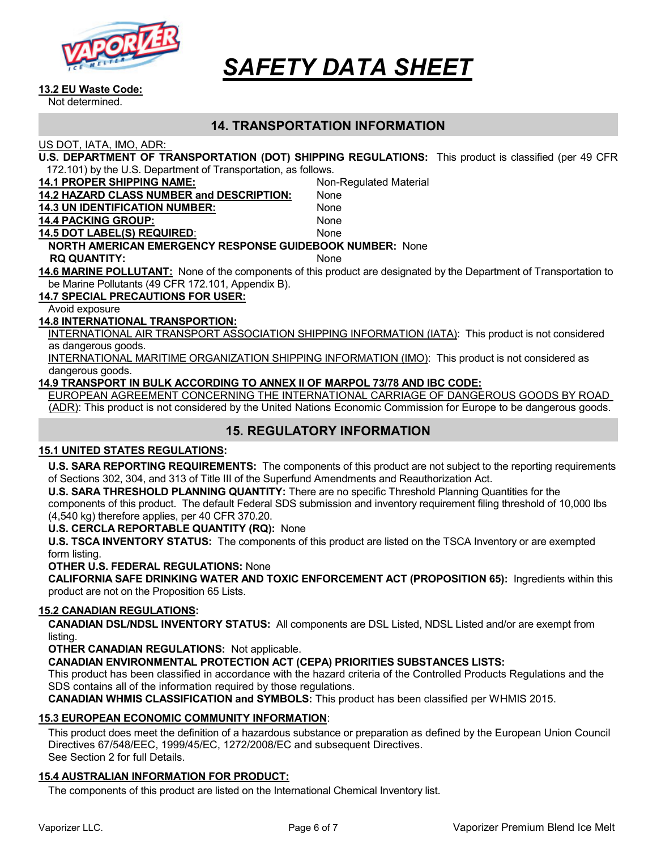

#### 13.2 EU Waste Code:

Not determined.

### 14. TRANSPORTATION INFORMATION

US DOT, IATA, IMO, ADR:

| U.S. DEPARTMENT OF TRANSPORTATION (DOT) SHIPPING REGULATIONS: This product is classified (per 49 CFR |  |
|------------------------------------------------------------------------------------------------------|--|
| 172.101) by the U.S. Department of Transportation, as follows.                                       |  |

| <u>IZ. IVI) by the O.S. Department of Transportation, as follows.</u> |                                                                                                                     |  |
|-----------------------------------------------------------------------|---------------------------------------------------------------------------------------------------------------------|--|
| <b>14.1 PROPER SHIPPING NAME:</b>                                     | Non-Regulated Material                                                                                              |  |
| 14.2 HAZARD CLASS NUMBER and DESCRIPTION:                             | None                                                                                                                |  |
| <b>14.3 UN IDENTIFICATION NUMBER:</b>                                 | None                                                                                                                |  |
| <b>14.4 PACKING GROUP:</b>                                            | None                                                                                                                |  |
| <b>14.5 DOT LABEL(S) REQUIRED:</b>                                    | None                                                                                                                |  |
| <b>NORTH AMERICAN EMERGENCY RESPONSE GUIDEBOOK NUMBER: None</b>       |                                                                                                                     |  |
| <b>RQ QUANTITY:</b>                                                   | <b>None</b>                                                                                                         |  |
|                                                                       | 14.6 MARINE POLLUTANT: None of the components of this product are designated by the Department of Transportation to |  |
| be Marine Pollutants (49 CFR 172.101, Appendix B).                    |                                                                                                                     |  |
| <b>14.7 SPECIAL PRECAUTIONS FOR USER:</b>                             |                                                                                                                     |  |
|                                                                       |                                                                                                                     |  |

Avoid exposure

#### 14.8 INTERNATIONAL TRANSPORTION:

INTERNATIONAL AIR TRANSPORT ASSOCIATION SHIPPING INFORMATION (IATA): This product is not considered as dangerous goods.

INTERNATIONAL MARITIME ORGANIZATION SHIPPING INFORMATION (IMO): This product is not considered as dangerous goods.

#### 14.9 TRANSPORT IN BULK ACCORDING TO ANNEX II OF MARPOL 73/78 AND IBC CODE:

EUROPEAN AGREEMENT CONCERNING THE INTERNATIONAL CARRIAGE OF DANGEROUS GOODS BY ROAD (ADR): This product is not considered by the United Nations Economic Commission for Europe to be dangerous goods.

# 15. REGULATORY INFORMATION

#### 15.1 UNITED STATES REGULATIONS:

U.S. SARA REPORTING REQUIREMENTS: The components of this product are not subject to the reporting requirements of Sections 302, 304, and 313 of Title III of the Superfund Amendments and Reauthorization Act.

U.S. SARA THRESHOLD PLANNING QUANTITY: There are no specific Threshold Planning Quantities for the components of this product. The default Federal SDS submission and inventory requirement filing threshold of 10,000 lbs (4,540 kg) therefore applies, per 40 CFR 370.20.

#### U.S. CERCLA REPORTABLE QUANTITY (RQ): None

U.S. TSCA INVENTORY STATUS: The components of this product are listed on the TSCA Inventory or are exempted form listing.

#### OTHER U.S. FEDERAL REGULATIONS: None

CALIFORNIA SAFE DRINKING WATER AND TOXIC ENFORCEMENT ACT (PROPOSITION 65): Ingredients within this product are not on the Proposition 65 Lists.

#### 15.2 CANADIAN REGULATIONS:

CANADIAN DSL/NDSL INVENTORY STATUS: All components are DSL Listed, NDSL Listed and/or are exempt from listing.

OTHER CANADIAN REGULATIONS: Not applicable.

CANADIAN ENVIRONMENTAL PROTECTION ACT (CEPA) PRIORITIES SUBSTANCES LISTS:

This product has been classified in accordance with the hazard criteria of the Controlled Products Regulations and the SDS contains all of the information required by those regulations.

CANADIAN WHMIS CLASSIFICATION and SYMBOLS: This product has been classified per WHMIS 2015.

#### 15.3 EUROPEAN ECONOMIC COMMUNITY INFORMATION:

This product does meet the definition of a hazardous substance or preparation as defined by the European Union Council Directives 67/548/EEC, 1999/45/EC, 1272/2008/EC and subsequent Directives. See Section 2 for full Details.

#### 15.4 AUSTRALIAN INFORMATION FOR PRODUCT:

The components of this product are listed on the International Chemical Inventory list.